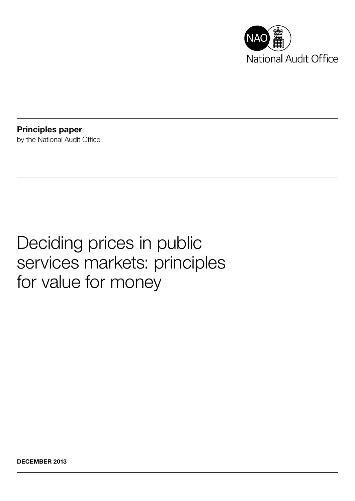

Principles paper by the National Audit Office

# Deciding prices in public services markets: principles for value for money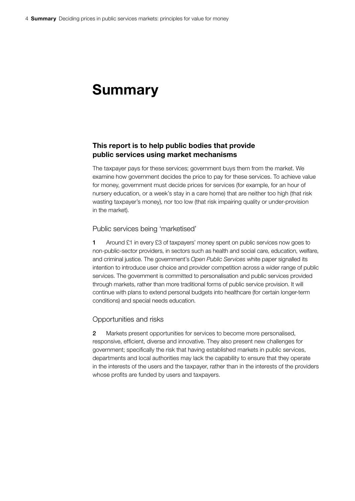# Summary

# This report is to help public bodies that provide public services using market mechanisms

The taxpayer pays for these services; government buys them from the market. We examine how government decides the price to pay for these services. To achieve value for money, government must decide prices for services (for example, for an hour of nursery education, or a week's stay in a care home) that are neither too high (that risk wasting taxpayer's money), nor too low (that risk impairing quality or under-provision in the market).

#### Public services being 'marketised'

1 Around £1 in every £3 of taxpayers' money spent on public services now goes to non-public-sector providers, in sectors such as health and social care, education, welfare, and criminal justice. The government's *Open Public Services* white paper signalled its intention to introduce user choice and provider competition across a wider range of public services. The government is committed to personalisation and public services provided through markets, rather than more traditional forms of public service provision. It will continue with plans to extend personal budgets into healthcare (for certain longer-term conditions) and special needs education.

#### Opportunities and risks

2 Markets present opportunities for services to become more personalised, responsive, efficient, diverse and innovative. They also present new challenges for government; specifically the risk that having established markets in public services, departments and local authorities may lack the capability to ensure that they operate in the interests of the users and the taxpayer, rather than in the interests of the providers whose profits are funded by users and taxpayers.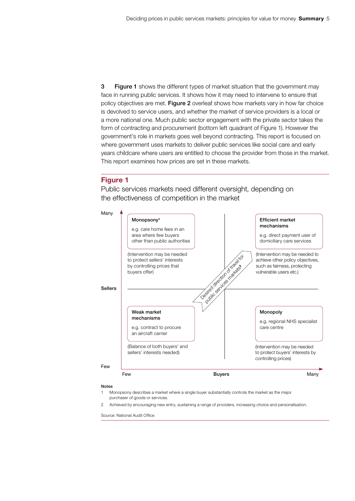**3** Figure 1 shows the different types of market situation that the government may face in running public services. It shows how it may need to intervene to ensure that policy objectives are met. Figure 2 overleaf shows how markets vary in how far choice is devolved to service users, and whether the market of service providers is a local or a more national one. Much public sector engagement with the private sector takes the form of contracting and procurement (bottom left quadrant of Figure 1). However the government's role in markets goes well beyond contracting. This report is focused on where government uses markets to deliver public services like social care and early years childcare where users are entitled to choose the provider from those in the market. This report examines how prices are set in these markets.

## Figure 1

Public services markets need different oversight, depending on the effectiveness of competition in the market



#### Notes

- Monopsony describes a market where a single buyer substantially controls the market as the major purchaser of goods or services.
- 2 Achieved by encouraging new entry, sustaining a range of providers, increasing choice and personalisation.

Source: National Audit Office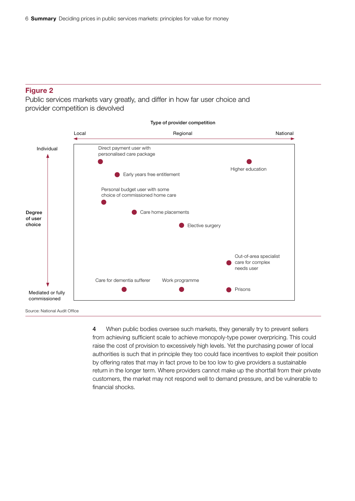# Figure 2

Public services markets vary greatly, and differ in how far user choice and provider competition is devolved



4 When public bodies oversee such markets, they generally try to prevent sellers from achieving sufficient scale to achieve monopoly-type power overpricing. This could raise the cost of provision to excessively high levels. Yet the purchasing power of local authorities is such that in principle they too could face incentives to exploit their position by offering rates that may in fact prove to be too low to give providers a sustainable return in the longer term. Where providers cannot make up the shortfall from their private customers, the market may not respond well to demand pressure, and be vulnerable to financial shocks.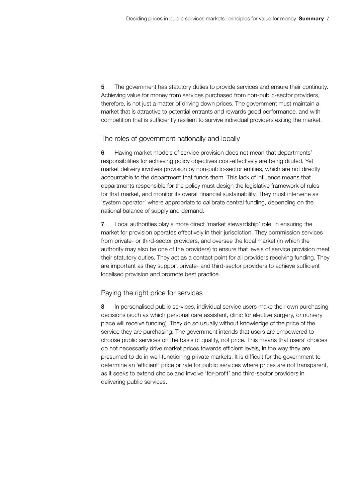5 The government has statutory duties to provide services and ensure their continuity. Achieving value for money from services purchased from non-public-sector providers, therefore, is not just a matter of driving down prices. The government must maintain a market that is attractive to potential entrants and rewards good performance, and with competition that is sufficiently resilient to survive individual providers exiting the market.

## The roles of government nationally and locally

6 Having market models of service provision does not mean that departments' responsibilities for achieving policy objectives cost-effectively are being diluted. Yet market delivery involves provision by non-public-sector entities, which are not directly accountable to the department that funds them. This lack of influence means that departments responsible for the policy must design the legislative framework of rules for that market, and monitor its overall financial sustainability. They must intervene as 'system operator' where appropriate to calibrate central funding, depending on the national balance of supply and demand.

7 Local authorities play a more direct 'market stewardship' role, in ensuring the market for provision operates effectively in their jurisdiction. They commission services from private- or third-sector providers, and oversee the local market (in which the authority may also be one of the providers) to ensure that levels of service provision meet their statutory duties. They act as a contact point for all providers receiving funding. They are important as they support private- and third-sector providers to achieve sufficient localised provision and promote best practice.

#### Paying the right price for services

8 In personalised public services, individual service users make their own purchasing decisions (such as which personal care assistant, clinic for elective surgery, or nursery place will receive funding). They do so usually without knowledge of the price of the service they are purchasing. The government intends that users are empowered to choose public services on the basis of quality, not price. This means that users' choices do not necessarily drive market prices towards efficient levels, in the way they are presumed to do in well-functioning private markets. It is difficult for the government to determine an 'efficient' price or rate for public services where prices are not transparent, as it seeks to extend choice and involve 'for-profit' and third-sector providers in delivering public services.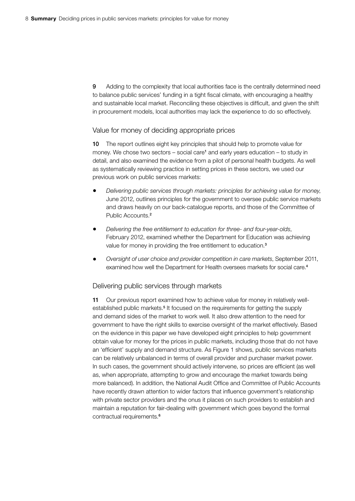9 Adding to the complexity that local authorities face is the centrally determined need to balance public services' funding in a tight fiscal climate, with encouraging a healthy and sustainable local market. Reconciling these objectives is difficult, and given the shift in procurement models, local authorities may lack the experience to do so effectively.

#### Value for money of deciding appropriate prices

10 The report outlines eight key principles that should help to promote value for money. We chose two sectors – social care<sup>1</sup> and early years education – to study in detail, and also examined the evidence from a pilot of personal health budgets. As well as systematically reviewing practice in setting prices in these sectors, we used our previous work on public services markets:

- • *Delivering public services through markets: principles for achieving value for money*, June 2012, outlines principles for the government to oversee public service markets and draws heavily on our back-catalogue reports, and those of the Committee of Public Accounts.<sup>2</sup>
- Delivering the free entitlement to education for three- and four-year-olds, February 2012, examined whether the Department for Education was achieving value for money in providing the free entitlement to education.<sup>3</sup>
- • *Oversight of user choice and provider competition in care markets*, September 2011, examined how well the Department for Health oversees markets for social care.<sup>4</sup>

#### Delivering public services through markets

11 Our previous report examined how to achieve value for money in relatively wellestablished public markets.<sup>5</sup> It focused on the requirements for getting the supply and demand sides of the market to work well. It also drew attention to the need for government to have the right skills to exercise oversight of the market effectively. Based on the evidence in this paper we have developed eight principles to help government obtain value for money for the prices in public markets, including those that do not have an 'efficient' supply and demand structure. As Figure 1 shows, public services markets can be relatively unbalanced in terms of overall provider and purchaser market power. In such cases, the government should actively intervene, so prices are efficient (as well as, when appropriate, attempting to grow and encourage the market towards being more balanced). In addition, the National Audit Office and Committee of Public Accounts have recently drawn attention to wider factors that influence government's relationship with private sector providers and the onus it places on such providers to establish and maintain a reputation for fair-dealing with government which goes beyond the formal contractual requirements.<sup>6</sup>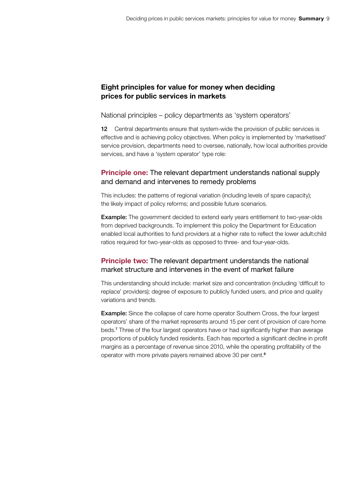# Eight principles for value for money when deciding prices for public services in markets

National principles – policy departments as 'system operators'

12 Central departments ensure that system-wide the provision of public services is effective and is achieving policy objectives. When policy is implemented by 'marketised' service provision, departments need to oversee, nationally, how local authorities provide services, and have a 'system operator' type role:

# Principle one: The relevant department understands national supply and demand and intervenes to remedy problems

This includes: the patterns of regional variation (including levels of spare capacity); the likely impact of policy reforms; and possible future scenarios.

Example: The government decided to extend early years entitlement to two-year-olds from deprived backgrounds. To implement this policy the Department for Education enabled local authorities to fund providers at a higher rate to reflect the lower adult:child ratios required for two-year-olds as opposed to three- and four-year-olds.

# Principle two: The relevant department understands the national market structure and intervenes in the event of market failure

This understanding should include: market size and concentration (including 'difficult to replace' providers); degree of exposure to publicly funded users, and price and quality variations and trends.

Example: Since the collapse of care home operator Southern Cross, the four largest operators' share of the market represents around 15 per cent of provision of care home beds.<sup>7</sup> Three of the four largest operators have or had significantly higher than average proportions of publicly funded residents. Each has reported a significant decline in profit margins as a percentage of revenue since 2010, while the operating profitability of the operator with more private payers remained above 30 per cent.8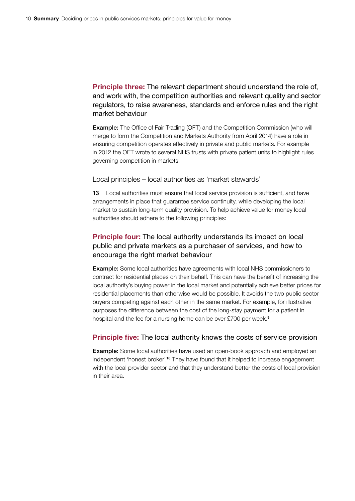Principle three: The relevant department should understand the role of, and work with, the competition authorities and relevant quality and sector regulators, to raise awareness, standards and enforce rules and the right market behaviour

Example: The Office of Fair Trading (OFT) and the Competition Commission (who will merge to form the Competition and Markets Authority from April 2014) have a role in ensuring competition operates effectively in private and public markets. For example in 2012 the OFT wrote to several NHS trusts with private patient units to highlight rules governing competition in markets.

Local principles – local authorities as 'market stewards'

13 Local authorities must ensure that local service provision is sufficient, and have arrangements in place that guarantee service continuity, while developing the local market to sustain long-term quality provision. To help achieve value for money local authorities should adhere to the following principles:

# **Principle four:** The local authority understands its impact on local public and private markets as a purchaser of services, and how to encourage the right market behaviour

Example: Some local authorities have agreements with local NHS commissioners to contract for residential places on their behalf. This can have the benefit of increasing the local authority's buying power in the local market and potentially achieve better prices for residential placements than otherwise would be possible. It avoids the two public sector buyers competing against each other in the same market. For example, for illustrative purposes the difference between the cost of the long-stay payment for a patient in hospital and the fee for a nursing home can be over £700 per week.<sup>9</sup>

# Principle five: The local authority knows the costs of service provision

**Example:** Some local authorities have used an open-book approach and employed an independent 'honest broker'.10 They have found that it helped to increase engagement with the local provider sector and that they understand better the costs of local provision in their area.